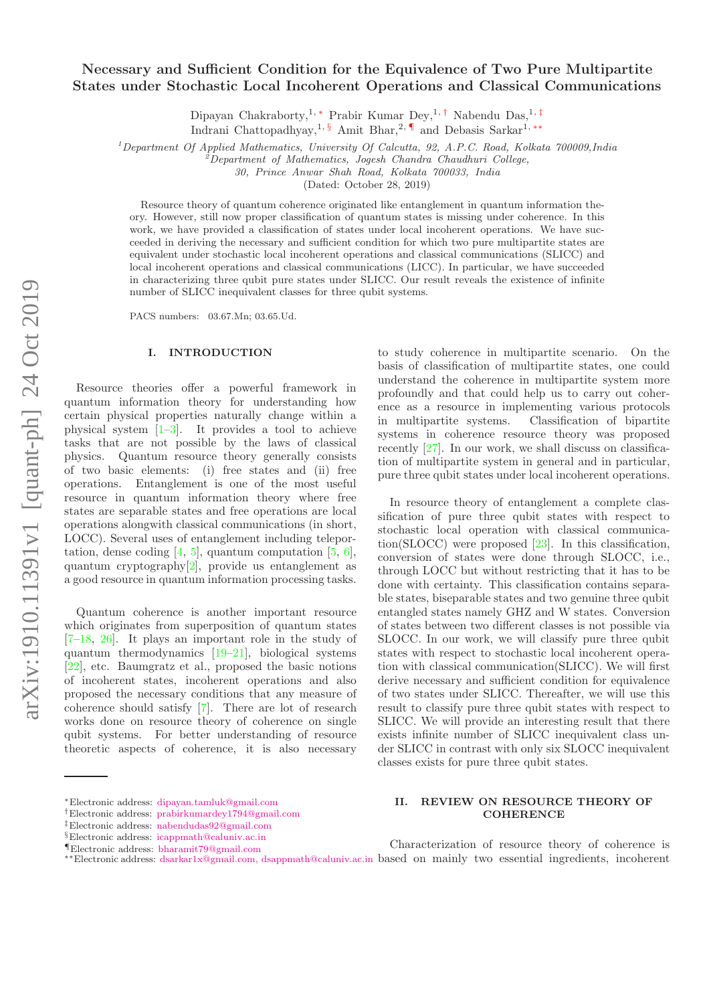# Necessary and Sufficient Condition for the Equivalence of Two Pure Multipartite States under Stochastic Local Incoherent Operations and Classical Communications

Dipayan Chakraborty,<sup>1, \*</sup> Prabir Kumar Dey,<sup>1, †</sup> Nabendu Das,<sup>1, ‡</sup>

Indrani Chattopadhyay,<sup>1, §</sup> Amit Bhar,<sup>2, ¶</sup> and Debasis Sarkar<sup>1,\*\*</sup>

<sup>1</sup>*Department Of Applied Mathematics, University Of Calcutta, 92, A.P.C. Road, Kolkata 700009,India*

<sup>2</sup>*Department of Mathematics, Jogesh Chandra Chaudhuri College,*

*30, Prince Anwar Shah Road, Kolkata 700033, India*

(Dated: October 28, 2019)

Resource theory of quantum coherence originated like entanglement in quantum information theory. However, still now proper classification of quantum states is missing under coherence. In this work, we have provided a classification of states under local incoherent operations. We have succeeded in deriving the necessary and sufficient condition for which two pure multipartite states are equivalent under stochastic local incoherent operations and classical communications (SLICC) and local incoherent operations and classical communications (LICC). In particular, we have succeeded in characterizing three qubit pure states under SLICC. Our result reveals the existence of infinite number of SLICC inequivalent classes for three qubit systems.

PACS numbers: 03.67.Mn; 03.65.Ud.

#### I. INTRODUCTION

Resource theories offer a powerful framework in quantum information theory for understanding how certain physical properties naturally change within a physical system  $[1-3]$ . It provides a tool to achieve tasks that are not possible by the laws of classical physics. Quantum resource theory generally consists of two basic elements: (i) free states and (ii) free operations. Entanglement is one of the most useful resource in quantum information theory where free states are separable states and free operations are local operations alongwith classical communications (in short, LOCC). Several uses of entanglement including teleportation, dense coding  $[4, 5]$ , quantum computation  $[5, 6]$ , quantum cryptography[2], provide us entanglement as a good resource in quantum information processing tasks.

Quantum coherence is another important resource which originates from superposition of quantum states [7–18, 26]. It plays an important role in the study of quantum thermodynamics [19–21], biological systems [22], etc. Baumgratz et al., proposed the basic notions of incoherent states, incoherent operations and also proposed the necessary conditions that any measure of coherence should satisfy [7]. There are lot of research works done on resource theory of coherence on single qubit systems. For better understanding of resource theoretic aspects of coherence, it is also necessary

profoundly and that could help us to carry out coherence as a resource in implementing various protocols in multipartite systems. Classification of bipartite systems in coherence resource theory was proposed recently [27]. In our work, we shall discuss on classification of multipartite system in general and in particular, pure three qubit states under local incoherent operations. In resource theory of entanglement a complete clas-

to study coherence in multipartite scenario. On the basis of classification of multipartite states, one could understand the coherence in multipartite system more

sification of pure three qubit states with respect to stochastic local operation with classical communication(SLOCC) were proposed [23]. In this classification, conversion of states were done through SLOCC, i.e., through LOCC but without restricting that it has to be done with certainty. This classification contains separable states, biseparable states and two genuine three qubit entangled states namely GHZ and W states. Conversion of states between two different classes is not possible via SLOCC. In our work, we will classify pure three qubit states with respect to stochastic local incoherent operation with classical communication(SLICC). We will first derive necessary and sufficient condition for equivalence of two states under SLICC. Thereafter, we will use this result to classify pure three qubit states with respect to SLICC. We will provide an interesting result that there exists infinite number of SLICC inequivalent class under SLICC in contrast with only six SLOCC inequivalent classes exists for pure three qubit states.

# II. REVIEW ON RESOURCE THEORY OF **COHERENCE**

<sup>∗</sup>Electronic address: dipayan.tamluk@gmail.com

<sup>†</sup>Electronic address: prabirkumardey1794@gmail.com

<sup>‡</sup>Electronic address: nabendudas92@gmail.com

<sup>§</sup>Electronic address: icappmath@caluniv.ac.in

<sup>¶</sup>Electronic address: bharamit79@gmail.com

<sup>∗∗</sup>Electronic address: dsarkar1x@gmail.com, dsappmath@caluniv.ac.in based on mainly two essential ingredients, incoherentCharacterization of resource theory of coherence is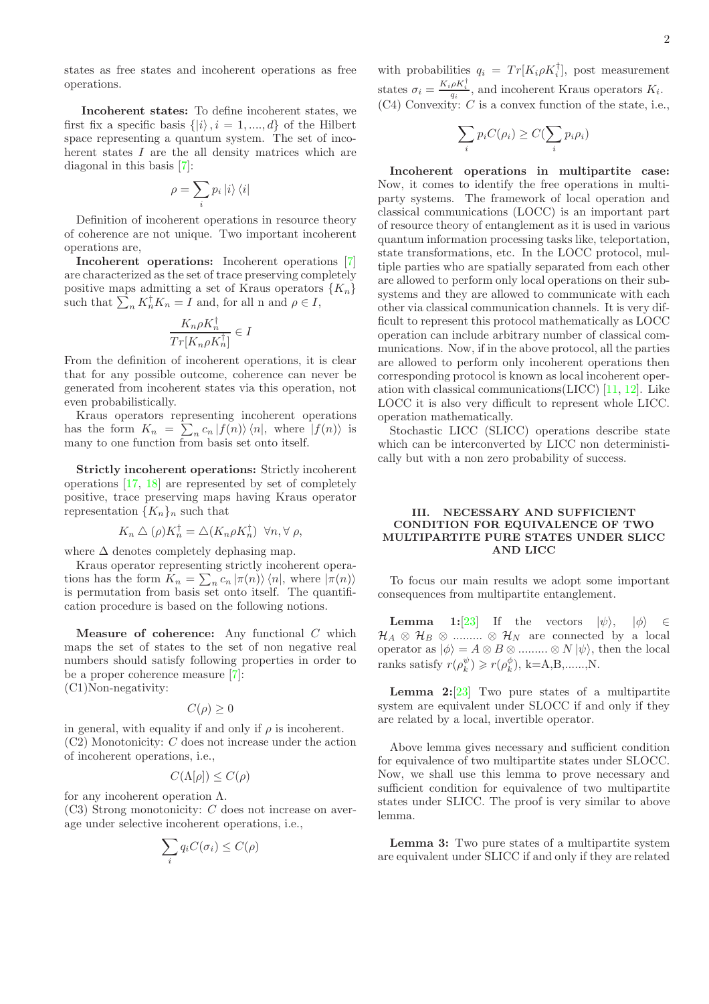states as free states and incoherent operations as free operations.

Incoherent states: To define incoherent states, we first fix a specific basis  $\{|i\rangle, i = 1, ..., d\}$  of the Hilbert space representing a quantum system. The set of incoherent states I are the all density matrices which are diagonal in this basis [7]:

$$
\rho = \sum_i p_i \left| i \right\rangle \left\langle i \right|
$$

Definition of incoherent operations in resource theory of coherence are not unique. Two important incoherent operations are,

Incoherent operations: Incoherent operations [7] are characterized as the set of trace preserving completely positive maps admitting a set of Kraus operators  $\{K_n\}$ such that  $\sum_n K_n^{\dagger} K_n = I$  and, for all n and  $\rho \in I$ ,

$$
\frac{K_n\rho K_n^\dagger}{Tr[K_n\rho K_n^\dagger]}\in I
$$

From the definition of incoherent operations, it is clear that for any possible outcome, coherence can never be generated from incoherent states via this operation, not even probabilistically.

Kraus operators representing incoherent operations has the form  $K_n = \sum_{n} c_n |f(n)\rangle \langle n|$ , where  $|f(n)\rangle$  is many to one function from basis set onto itself.

Strictly incoherent operations: Strictly incoherent operations [17, 18] are represented by set of completely positive, trace preserving maps having Kraus operator representation  $\{K_n\}_n$  such that

$$
K_n \triangle (\rho) K_n^{\dagger} = \triangle (K_n \rho K_n^{\dagger}) \ \forall n, \forall \rho,
$$

where  $\Delta$  denotes completely dephasing map.

Kraus operator representing strictly incoherent operations has the form  $K_n = \sum_n c_n |\pi(n)\rangle \langle n|$ , where  $|\pi(n)\rangle$ is permutation from basis set onto itself. The quantification procedure is based on the following notions.

**Measure of coherence:** Any functional  $C$  which maps the set of states to the set of non negative real numbers should satisfy following properties in order to be a proper coherence measure [7]: (C1)Non-negativity:

$$
C(\rho) \ge 0
$$

in general, with equality if and only if  $\rho$  is incoherent. (C2) Monotonicity: C does not increase under the action of incoherent operations, i.e.,

$$
C(\Lambda[\rho]) \leq C(\rho)
$$

for any incoherent operation Λ. (C3) Strong monotonicity: C does not increase on average under selective incoherent operations, i.e.,

$$
\sum_i q_i C(\sigma_i) \leq C(\rho)
$$

with probabilities  $q_i = Tr[K_i \rho K_i^{\dagger}],$  post measurement states  $\sigma_i = \frac{K_i \rho K_i^{\dagger}}{q_i}$ , and incoherent Kraus operators  $K_i$ .  $(C4)$  Convexity: C is a convex function of the state, i.e.,

$$
\sum_i p_i C(\rho_i) \ge C(\sum_i p_i \rho_i)
$$

Incoherent operations in multipartite case: Now, it comes to identify the free operations in multiparty systems. The framework of local operation and classical communications (LOCC) is an important part of resource theory of entanglement as it is used in various quantum information processing tasks like, teleportation, state transformations, etc. In the LOCC protocol, multiple parties who are spatially separated from each other are allowed to perform only local operations on their subsystems and they are allowed to communicate with each other via classical communication channels. It is very difficult to represent this protocol mathematically as LOCC operation can include arbitrary number of classical communications. Now, if in the above protocol, all the parties are allowed to perform only incoherent operations then corresponding protocol is known as local incoherent operation with classical communications(LICC) [11, 12]. Like LOCC it is also very difficult to represent whole LICC. operation mathematically.

Stochastic LICC (SLICC) operations describe state which can be interconverted by LICC non deterministically but with a non zero probability of success.

# III. NECESSARY AND SUFFICIENT CONDITION FOR EQUIVALENCE OF TWO MULTIPARTITE PURE STATES UNDER SLICC AND LICC

To focus our main results we adopt some important consequences from multipartite entanglement.

**Lemma 1:**[23] If the vectors  $|\psi\rangle$ ,  $|\phi\rangle$   $\in$  $\mathcal{H}_A \otimes \mathcal{H}_B \otimes \dots \otimes \mathcal{H}_N$  are connected by a local operator as  $|\phi\rangle = A \otimes B \otimes \dots \otimes N |\psi\rangle$ , then the local ranks satisfy  $r(\rho_k^{\psi}) \geq r(\rho_k^{\phi}), \ k = A, B, \ldots, N.$ 

**Lemma 2:**[23] Two pure states of a multipartite system are equivalent under SLOCC if and only if they are related by a local, invertible operator.

Above lemma gives necessary and sufficient condition for equivalence of two multipartite states under SLOCC. Now, we shall use this lemma to prove necessary and sufficient condition for equivalence of two multipartite states under SLICC. The proof is very similar to above lemma.

Lemma 3: Two pure states of a multipartite system are equivalent under SLICC if and only if they are related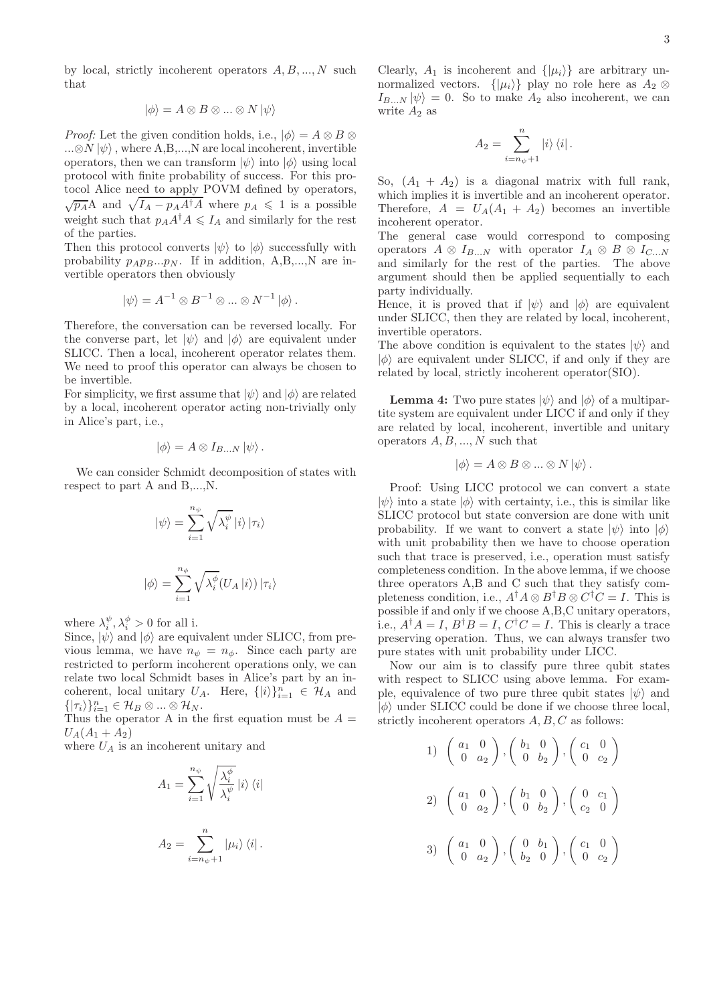by local, strictly incoherent operators  $A, B, ..., N$  such that

$$
|\phi\rangle = A \otimes B \otimes \dots \otimes N |\psi\rangle
$$

*Proof:* Let the given condition holds, i.e.,  $|\phi\rangle = A \otimes B \otimes B$  $...\otimes N|\psi\rangle$ , where A,B,...,N are local incoherent, invertible operators, then we can transform  $|\psi\rangle$  into  $|\phi\rangle$  using local protocol with finite probability of success. For this protocol Alice need to apply POVM defined by operators,  $\sqrt{p_A}A$  and  $\sqrt{I_A - p_A A^{\dagger}A}$  where  $p_A \leq 1$  is a possible weight such that  $p_A A^{\dagger} A \leq I_A$  and similarly for the rest of the parties.

Then this protocol converts  $|\psi\rangle$  to  $|\phi\rangle$  successfully with probability  $p_A p_B ... p_N$ . If in addition, A,B,...,N are invertible operators then obviously

$$
|\psi\rangle = A^{-1} \otimes B^{-1} \otimes \dots \otimes N^{-1} |\phi\rangle.
$$

Therefore, the conversation can be reversed locally. For the converse part, let  $|\psi\rangle$  and  $|\phi\rangle$  are equivalent under SLICC. Then a local, incoherent operator relates them. We need to proof this operator can always be chosen to be invertible.

For simplicity, we first assume that  $|\psi\rangle$  and  $|\phi\rangle$  are related by a local, incoherent operator acting non-trivially only in Alice's part, i.e.,

$$
|\phi\rangle = A \otimes I_{B...N} |\psi\rangle.
$$

We can consider Schmidt decomposition of states with respect to part A and B,...,N.

$$
\left|\psi\right\rangle = \sum_{i=1}^{n_{\psi}} \sqrt{\lambda_i^{\psi}} \left|i\right\rangle \left|\tau_i\right\rangle
$$
  

$$
\left|\phi\right\rangle = \sum_{i=1}^{n_{\phi}} \sqrt{\lambda_i^{\phi}} (U_A \left|i\right\rangle) \left|\tau_i\right\rangle
$$

where  $\lambda_i^{\psi}, \lambda_i^{\phi} > 0$  for all i.

Since,  $|\psi\rangle$  and  $|\phi\rangle$  are equivalent under SLICC, from previous lemma, we have  $n_{\psi} = n_{\phi}$ . Since each party are restricted to perform incoherent operations only, we can relate two local Schmidt bases in Alice's part by an incoherent, local unitary U<sub>A</sub>. Here,  $\{|i\rangle\}_{i=1}^n \in \mathcal{H}_A$  and  $\{|\tau_i\rangle\}_{i=1}^n \in \mathcal{H}_B \otimes ... \otimes \mathcal{H}_N.$ 

Thus the operator A in the first equation must be  $A =$  $U_A(A_1 + A_2)$ 

where  $U_A$  is an incoherent unitary and

$$
A_1 = \sum_{i=1}^{n_{\psi}} \sqrt{\frac{\lambda_i^{\phi}}{\lambda_i^{\psi}}} |i\rangle \langle i|
$$
  

$$
A_2 = \sum_{i=n_{\psi}+1}^{n} |\mu_i\rangle \langle i|.
$$

Clearly,  $A_1$  is incoherent and  $\{|\mu_i\rangle\}$  are arbitrary unnormalized vectors.  $\{|\mu_i\rangle\}$  play no role here as  $A_2 \otimes$  $I_{B\dots N} |\psi\rangle = 0$ . So to make  $A_2$  also incoherent, we can write  $A_2$  as

$$
A_2 = \sum_{i=n_{\psi}+1}^{n} |i\rangle \langle i|.
$$

So,  $(A_1 + A_2)$  is a diagonal matrix with full rank, which implies it is invertible and an incoherent operator. Therefore,  $A = U_A(A_1 + A_2)$  becomes an invertible incoherent operator.

The general case would correspond to composing operators  $A \otimes I_{B\dots N}$  with operator  $I_A \otimes B \otimes I_{C\dots N}$ and similarly for the rest of the parties. The above argument should then be applied sequentially to each party individually.

Hence, it is proved that if  $|\psi\rangle$  and  $|\phi\rangle$  are equivalent under SLICC, then they are related by local, incoherent, invertible operators.

The above condition is equivalent to the states  $|\psi\rangle$  and  $|\phi\rangle$  are equivalent under SLICC, if and only if they are related by local, strictly incoherent operator(SIO).

**Lemma 4:** Two pure states  $|\psi\rangle$  and  $|\phi\rangle$  of a multipartite system are equivalent under LICC if and only if they are related by local, incoherent, invertible and unitary operators  $A, B, ..., N$  such that

$$
|\phi\rangle = A \otimes B \otimes \dots \otimes N |\psi\rangle.
$$

Proof: Using LICC protocol we can convert a state  $|\psi\rangle$  into a state  $|\phi\rangle$  with certainty, i.e., this is similar like SLICC protocol but state conversion are done with unit probability. If we want to convert a state  $|\psi\rangle$  into  $|\phi\rangle$ with unit probability then we have to choose operation such that trace is preserved, i.e., operation must satisfy completeness condition. In the above lemma, if we choose three operators A,B and C such that they satisfy completeness condition, i.e.,  $A^{\dagger}A \otimes B^{\dagger}B \otimes C^{\dagger}C = I$ . This is possible if and only if we choose A,B,C unitary operators, i.e.,  $A^{\dagger} A = I$ ,  $B^{\dagger} B = I$ ,  $C^{\dagger} C = I$ . This is clearly a trace preserving operation. Thus, we can always transfer two pure states with unit probability under LICC.

Now our aim is to classify pure three qubit states with respect to SLICC using above lemma. For example, equivalence of two pure three qubit states  $|\psi\rangle$  and  $|\phi\rangle$  under SLICC could be done if we choose three local, strictly incoherent operators  $A, B, C$  as follows:

1) 
$$
\begin{pmatrix} a_1 & 0 \\ 0 & a_2 \end{pmatrix}
$$
,  $\begin{pmatrix} b_1 & 0 \\ 0 & b_2 \end{pmatrix}$ ,  $\begin{pmatrix} c_1 & 0 \\ 0 & c_2 \end{pmatrix}$   
\n2)  $\begin{pmatrix} a_1 & 0 \\ 0 & a_2 \end{pmatrix}$ ,  $\begin{pmatrix} b_1 & 0 \\ 0 & b_2 \end{pmatrix}$ ,  $\begin{pmatrix} 0 & c_1 \\ c_2 & 0 \end{pmatrix}$   
\n3)  $\begin{pmatrix} a_1 & 0 \\ 0 & a_2 \end{pmatrix}$ ,  $\begin{pmatrix} 0 & b_1 \\ b_2 & 0 \end{pmatrix}$ ,  $\begin{pmatrix} c_1 & 0 \\ 0 & c_2 \end{pmatrix}$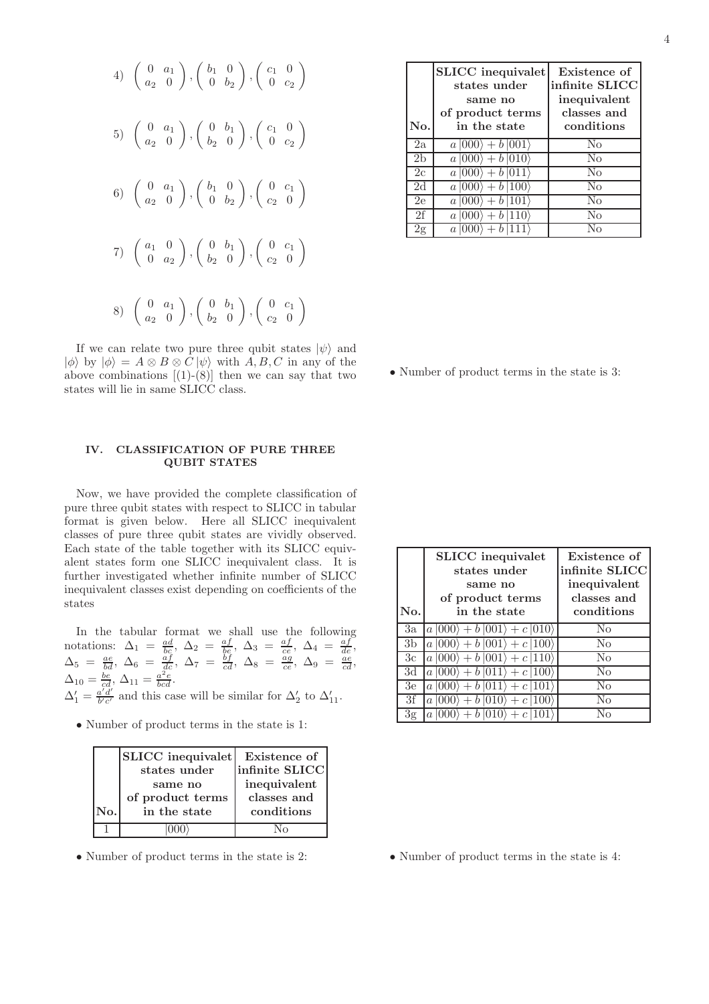4) 
$$
\begin{pmatrix} 0 & a_1 \\ a_2 & 0 \end{pmatrix}
$$
,  $\begin{pmatrix} b_1 & 0 \\ 0 & b_2 \end{pmatrix}$ ,  $\begin{pmatrix} c_1 & 0 \\ 0 & c_2 \end{pmatrix}$   
\n5)  $\begin{pmatrix} 0 & a_1 \\ a_2 & 0 \end{pmatrix}$ ,  $\begin{pmatrix} 0 & b_1 \\ b_2 & 0 \end{pmatrix}$ ,  $\begin{pmatrix} c_1 & 0 \\ 0 & c_2 \end{pmatrix}$   
\n6)  $\begin{pmatrix} 0 & a_1 \\ a_2 & 0 \end{pmatrix}$ ,  $\begin{pmatrix} b_1 & 0 \\ 0 & b_2 \end{pmatrix}$ ,  $\begin{pmatrix} 0 & c_1 \\ c_2 & 0 \end{pmatrix}$   
\n7)  $\begin{pmatrix} a_1 & 0 \\ 0 & a_2 \end{pmatrix}$ ,  $\begin{pmatrix} 0 & b_1 \\ b_2 & 0 \end{pmatrix}$ ,  $\begin{pmatrix} 0 & c_1 \\ c_2 & 0 \end{pmatrix}$   
\n8)  $\begin{pmatrix} 0 & a_1 \\ a_2 & 0 \end{pmatrix}$ ,  $\begin{pmatrix} 0 & b_1 \\ b_2 & 0 \end{pmatrix}$ ,  $\begin{pmatrix} 0 & c_1 \\ c_2 & 0 \end{pmatrix}$ 

If we can relate two pure three qubit states  $|\psi\rangle$  and  $|\phi\rangle$  by  $|\phi\rangle = A \otimes B \otimes C |\psi\rangle$  with  $A, B, C$  in any of the above combinations  $[(1)-(8)]$  then we can say that two states will lie in same SLICC class.

# IV. CLASSIFICATION OF PURE THREE QUBIT STATES

Now, we have provided the complete classification of pure three qubit states with respect to SLICC in tabular format is given below. Here all SLICC inequivalent classes of pure three qubit states are vividly observed. Each state of the table together with its SLICC equivalent states form one SLICC inequivalent class. It is further investigated whether infinite number of SLICC inequivalent classes exist depending on coefficients of the states

In the tabular format we shall use the following notations:  $\Delta_1 = \frac{ad}{bc}$ ,  $\Delta_2 = \frac{af}{be}$ ,  $\Delta_3 = \frac{af}{ce}$ ,  $\Delta_4 = \frac{af}{de}$ ,  $\Delta_5 = \frac{ae}{bd}, \ \Delta_6 = \frac{af}{dc}, \ \Delta_7 = \frac{bf}{cd}, \ \Delta_8 = \frac{ag}{ce}, \ \Delta_9 = \frac{ae}{cd},$  $\Delta_{10} = \frac{be}{cd}$ ,  $\Delta_{11} = \frac{a^2e}{bcd}$ .  $\Delta'_1=\frac{a'd'}{b'c'}$  $\frac{a'd'}{b'c'}$  and this case will be similar for  $\Delta'_2$  to  $\Delta'_{11}$ .

• Number of product terms in the state is 1:

|     | <b>SLICC</b> inequivalet<br>states under<br>same no<br>of product terms | Existence of<br>infinite SLICC<br>inequivalent<br>classes and |
|-----|-------------------------------------------------------------------------|---------------------------------------------------------------|
| No. | in the state                                                            | conditions                                                    |
|     |                                                                         | $\sqrt{6}$                                                    |

• Number of product terms in the state is 2:

| No.            | <b>SLICC</b> inequivalet<br>states under<br>same no<br>of product terms<br>in the state | Existence of<br>infinite SLICC<br>inequivalent<br>classes and<br>conditions |
|----------------|-----------------------------------------------------------------------------------------|-----------------------------------------------------------------------------|
| 2a             | $a  000\rangle + b  001\rangle$                                                         | $\rm No$                                                                    |
| 2 <sub>b</sub> | $a\ket{000} + b\ket{010}$                                                               | N <sub>0</sub>                                                              |
| 2c             | $a 000\rangle + b 011\rangle$                                                           | N <sub>0</sub>                                                              |
| 2d             | $a 000\rangle + b 100\rangle$                                                           | No                                                                          |
| 2e             | $a 000\rangle + b 101\rangle$                                                           | No                                                                          |
| 2f             | $a 000\rangle + b 110\rangle$                                                           | No                                                                          |
| 2g             | b111<br>$a$ (000)                                                                       | Nο                                                                          |

• Number of product terms in the state is 3:

| No.            | <b>SLICC</b> inequivalet<br>states under<br>same no<br>of product terms<br>in the state | Existence of<br>infinite SLICC<br>inequivalent<br>classes and<br>conditions |
|----------------|-----------------------------------------------------------------------------------------|-----------------------------------------------------------------------------|
| 3a             | $a\left 000\right\rangle + b\left 001\right\rangle + c\left 010\right\rangle$           | $\rm No$                                                                    |
| 3 <sub>b</sub> | $a\ket{000}+b\ket{001}+c\ket{100}$                                                      | $\rm No$                                                                    |
| 3c             | $a 000\rangle + b 001\rangle + c 110\rangle$                                            | $\rm No$                                                                    |
| 3d             | $a 000\rangle + b 011\rangle + c 100\rangle$                                            | N <sub>0</sub>                                                              |
| 3e             | $a 000\rangle + b 011\rangle + c 101\rangle$                                            | No                                                                          |
| 3f             | $a 000\rangle + b 010\rangle + c 100\rangle$                                            | Nο                                                                          |
| 3g             | $ 000\rangle + b 010\rangle + c 101\rangle$<br>a                                        | $\rm N_{O}$                                                                 |

• Number of product terms in the state is 4: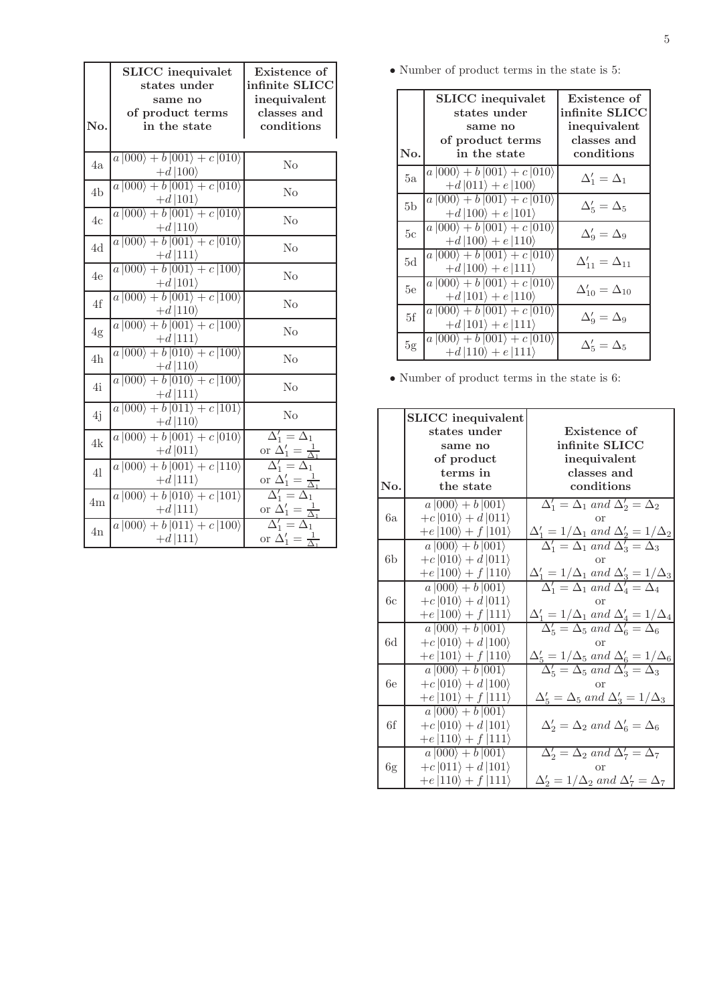| No.            | <b>SLICC</b> inequivalet<br>states under<br>same no<br>of product terms<br>in the state                                       | Existence of<br>infinite SLICC<br>inequivalent<br>classes and<br>conditions |
|----------------|-------------------------------------------------------------------------------------------------------------------------------|-----------------------------------------------------------------------------|
| 4a             | $a\left 000\right\rangle + b\left 001\right\rangle + c\left 010\right\rangle$                                                 | No                                                                          |
| 4 <sub>b</sub> | $\frac{+d\left 100\right\rangle}{a\left 000\right\rangle+b\left 001\right\rangle+c\left 010\right\rangle}$<br>$+d 101\rangle$ | No                                                                          |
| 4c             | $a\left 000\right\rangle + b\left 001\right\rangle + c\left 010\right\rangle$<br>$+d 110\rangle$                              | No                                                                          |
| 4d             | $a 000\rangle + b 001\rangle + c 010\rangle$<br>$+d 111\rangle$                                                               | No                                                                          |
| 4e             | $a\left 000\right\rangle + b\left 001\right\rangle + c\left 100\right\rangle$<br>$+d 101\rangle$                              | No                                                                          |
| 4f             | $a 000\rangle + b 001\rangle + c 100\rangle$                                                                                  | No                                                                          |
| 4g             | $\frac{+d\ket{110}}{a\ket{000}+b\ket{001}+c\ket{100}}$                                                                        | No                                                                          |
| 4h             | $\frac{+d\ket{111}}{a\ket{000}+b\ket{010}+c\ket{100}}$                                                                        | No                                                                          |
| 4i             | $\frac{+d\left 110\right\rangle}{a\left 000\right\rangle+b\left 010\right\rangle+c\left 100\right\rangle}$<br>$+d 111\rangle$ | No                                                                          |
| 4j             | $\overline{a\, 000\rangle + b\, 011\rangle + c\, 101\rangle}$<br>$+d 110\rangle$                                              | No                                                                          |
| 4k             | $a 000\rangle + b 001\rangle + c 010\rangle$<br>$+d 011\rangle$                                                               | $\Delta'_1 = \Delta_1$<br>or $\Delta'_1 = \frac{1}{\Delta_1}$               |
| 41             | $\ket{a\ket{000}+b\ket{001}+c\ket{110}}$<br>$+d 111\rangle$                                                                   | $\Delta'_1 = \Delta_1$<br>or $\Delta'_1 = \frac{1}{\Delta_1}$               |
| 4m             | $\overline{a\left 000\right\rangle+b\left 010\right\rangle+c\left 101\right\rangle}$<br>$+d 111\rangle$                       | $\Delta'_1 = \Delta_1$<br>or $\Delta'_1=\frac{1}{\Delta_1}$                 |
| 4n             | $\ket{a\ket{000}+b\ket{011}+c\ket{100}}$<br>$+d 111\rangle$                                                                   | $\overline{\Delta'_1} = \Delta_1$<br>or $\Delta_1' = \frac{1}{\Delta_1}$    |

 $\bullet$  Number of product terms in the state is 5:

| No.            | SLICC inequivalet<br>states under<br>same no<br>of product terms<br>in the state                                  | Existence of<br>$\mathop{\mathrm{infinite}}\nolimits\mathop{\mathrm{SLICC}}\nolimits$<br>inequivalent<br>classes and<br>conditions |
|----------------|-------------------------------------------------------------------------------------------------------------------|------------------------------------------------------------------------------------------------------------------------------------|
| 5a             | $a\left 000\right\rangle + b\left 001\right\rangle + c\left 010\right\rangle$<br>$+d  011\rangle + e  100\rangle$ | $\Delta'_1 = \Delta_1$                                                                                                             |
| 5 <sub>b</sub> | $a\left 000\right\rangle + b\left 001\right\rangle + c\left 010\right\rangle$<br>$+d  100\rangle + e  101\rangle$ | $\Delta_5' = \Delta_5$                                                                                                             |
| 5c             | $a\left 000\right\rangle + b\left 001\right\rangle + c\left 010\right\rangle$<br>$+d  100\rangle + e  110\rangle$ | $\Delta'_9 = \Delta_9$                                                                                                             |
| 5d             | $a\left 000\right\rangle + b\left 001\right\rangle + c\left 010\right\rangle$<br>$+d  100\rangle + e  111\rangle$ | $\Delta'_{11} = \Delta_{11}$                                                                                                       |
| 5e             | $a\left 000\right\rangle + b\left 001\right\rangle + c\left 010\right\rangle$<br>$+d  101\rangle + e  110\rangle$ | $\Delta'_{10} = \Delta_{10}$                                                                                                       |
| 5f             | $a\left 000\right\rangle + b\left 001\right\rangle + c\left 010\right\rangle$<br>$+d  101\rangle + e  111\rangle$ | $\Delta'_9 = \Delta_9$                                                                                                             |
| 5g             | $a\left 000\right\rangle + b\left 001\right\rangle + c\left 010\right\rangle$<br>$+d  110\rangle + e  111\rangle$ | $\Delta'_5 = \Delta_5$                                                                                                             |

 $\bullet$  Number of product terms in the state is 6:

|     | <b>SLICC</b> inequivalent                           |                                                                                                                             |
|-----|-----------------------------------------------------|-----------------------------------------------------------------------------------------------------------------------------|
|     | states under                                        | Existence of                                                                                                                |
|     | same no                                             | infinite SLICC                                                                                                              |
|     | of product                                          | inequivalent                                                                                                                |
|     | terms in                                            | classes and                                                                                                                 |
| No. | the state                                           | conditions                                                                                                                  |
|     | $a\left 000\right\rangle + b\left 001\right\rangle$ | $\Delta'_1 = \Delta_1$ and $\Delta'_2 = \Delta_2$                                                                           |
| 6a  | $+c 010\rangle + d 011\rangle$                      | or                                                                                                                          |
|     | $+e 100\rangle + f 101\rangle$                      | $\frac{\Delta'_1 = 1/\Delta_1 \text{ and } \Delta'_2 = 1/\Delta_2}{\Delta'_1 = \Delta_1 \text{ and } \Delta'_3 = \Delta_3}$ |
|     | $a 000\rangle + b 001\rangle$                       |                                                                                                                             |
| 6b  | $+c 010\rangle + d 011\rangle$                      | or                                                                                                                          |
|     | $+e 100\rangle + f 110\rangle$                      | $\Delta'_1 = 1/\Delta_1$ and $\Delta'_3 = 1/\Delta_3$<br>$\Delta'_1 = \Delta_1$ and $\Delta'_4 = \Delta_4$                  |
|     | $a 000\rangle + b 001\rangle$                       |                                                                                                                             |
| 6с  | $+c 010\rangle + d 011\rangle$                      | Ωr                                                                                                                          |
|     | $+e 100\rangle + f 111\rangle$                      | $\frac{\Delta'_1 = 1/\Delta_1 \text{ and } \Delta'_4 = 1/\Delta_4}{\Delta'_5 = \Delta_5 \text{ and } \Delta'_6 = \Delta_6}$ |
|     | $a 000\rangle + b 001\rangle$                       |                                                                                                                             |
| 6d  | $+c 010\rangle + d 100\rangle$                      | Ωr                                                                                                                          |
|     | $+e 101\rangle + f 110\rangle$                      | $\Delta_5' = 1/\Delta_5$ and $\Delta_6' = 1/\Delta_6$                                                                       |
|     | $a 000\rangle + b 001\rangle$                       | $\overline{\Delta'_5} = \overline{\Delta_5}$ and $\overline{\Delta'_3} = \overline{\Delta_3}$                               |
| 6e  | $+c 010\rangle + d 100\rangle$                      | or                                                                                                                          |
|     | $+e 101\rangle + f 111\rangle$                      | $\Delta'_5 = \Delta_5$ and $\Delta'_3 = 1/\Delta_3$                                                                         |
|     | $a 000\rangle + b 001\rangle$                       |                                                                                                                             |
| 6f  | $+c 010\rangle + d 101\rangle$                      | $\Delta'_2 = \Delta_2$ and $\Delta'_6 = \Delta_6$                                                                           |
|     | $+e 110\rangle + f 111\rangle$                      |                                                                                                                             |
|     | $a 000\rangle + b 001\rangle$                       | $\Delta'_2 = \Delta_2$ and $\Delta'_7 = \Delta_7$                                                                           |
| 6g  | $+c 011\rangle + d 101\rangle$                      | or                                                                                                                          |
|     | $+e 110\rangle + f 111\rangle$                      | $\Delta'_2 = 1/\Delta_2$ and $\Delta'_7 = \Delta_7$                                                                         |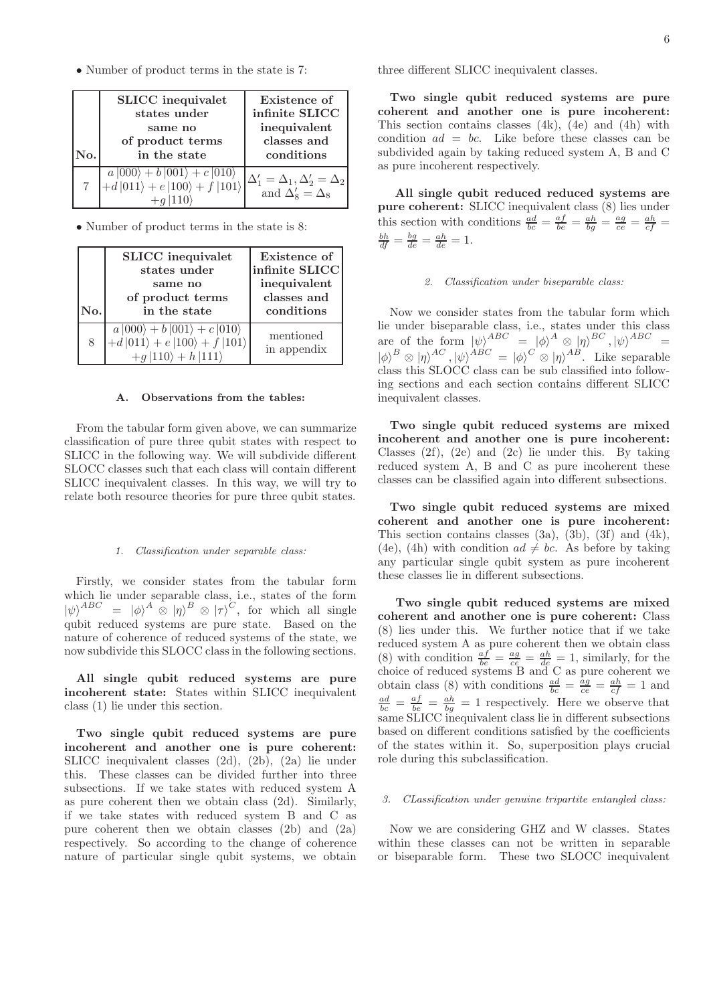• Number of product terms in the state is 7:

| No. | <b>SLICC</b> inequivalet<br>states under<br>same no<br>of product terms<br>in the state | Existence of<br>infinite SLICC<br>inequivalent<br>classes and<br>conditions |
|-----|-----------------------------------------------------------------------------------------|-----------------------------------------------------------------------------|
|     | $a 000\rangle + b 001\rangle + c 010\rangle$<br>+d 011\} + e 100\} + f 101\}            | $\Delta'_1 = \Delta_1, \Delta'_2 = \Delta_2$<br>and $\Delta'_8 = \Delta_8$  |

• Number of product terms in the state is 8:

| No. | <b>SLICC</b> inequivalet<br>states under<br>same no<br>of product terms<br>in the state                                     | Existence of<br>infinite SLICC<br>inequivalent<br>classes and<br>conditions |
|-----|-----------------------------------------------------------------------------------------------------------------------------|-----------------------------------------------------------------------------|
| 8   | $a  000\rangle + b  001\rangle + c  010\rangle$<br>+d $ 011\rangle + e  100\rangle + f  101\rangle$<br>$+g$  110) + h  111) | mentioned<br>in appendix                                                    |

# A. Observations from the tables:

From the tabular form given above, we can summarize classification of pure three qubit states with respect to SLICC in the following way. We will subdivide different SLOCC classes such that each class will contain different SLICC inequivalent classes. In this way, we will try to relate both resource theories for pure three qubit states.

#### *1. Classification under separable class:*

Firstly, we consider states from the tabular form which lie under separable class, i.e., states of the form  $|\psi\rangle^{ABC} = |\phi\rangle^A \otimes |\eta\rangle^B \otimes |\tau\rangle^C$ , for which all single qubit reduced systems are pure state. Based on the nature of coherence of reduced systems of the state, we now subdivide this SLOCC class in the following sections.

All single qubit reduced systems are pure incoherent state: States within SLICC inequivalent class (1) lie under this section.

Two single qubit reduced systems are pure incoherent and another one is pure coherent: SLICC inequivalent classes (2d), (2b), (2a) lie under this. These classes can be divided further into three subsections. If we take states with reduced system A as pure coherent then we obtain class (2d). Similarly, if we take states with reduced system B and C as pure coherent then we obtain classes (2b) and (2a) respectively. So according to the change of coherence nature of particular single qubit systems, we obtain three different SLICC inequivalent classes.

Two single qubit reduced systems are pure coherent and another one is pure incoherent: This section contains classes (4k), (4e) and (4h) with condition  $ad = bc$ . Like before these classes can be subdivided again by taking reduced system A, B and C as pure incoherent respectively.

All single qubit reduced reduced systems are pure coherent: SLICC inequivalent class (8) lies under this section with conditions  $\frac{ad}{bc} = \frac{af}{be} = \frac{ah}{bg} = \frac{ag}{ce} = \frac{ah}{cf} =$  $\frac{bh}{df} = \frac{bg}{de} = \frac{ah}{de} = 1.$ 

#### *2. Classification under biseparable class:*

Now we consider states from the tabular form which lie under biseparable class, i.e., states under this class are of the form  $|\psi\rangle^{ABC} = |\phi\rangle^A \otimes | \eta \rangle^{BC}, |\psi\rangle^{ABC} =$  $|\phi\rangle^B \otimes |\eta\rangle^{AC}, |\psi\rangle^{ABC} = |\phi\rangle^C \otimes |\eta\rangle^{AB}.$  Like separable class this SLOCC class can be sub classified into following sections and each section contains different SLICC inequivalent classes.

Two single qubit reduced systems are mixed incoherent and another one is pure incoherent: Classes (2f), (2e) and (2c) lie under this. By taking reduced system A, B and C as pure incoherent these classes can be classified again into different subsections.

Two single qubit reduced systems are mixed coherent and another one is pure incoherent: This section contains classes  $(3a)$ ,  $(3b)$ ,  $(3f)$  and  $(4k)$ , (4e), (4h) with condition  $ad \neq bc$ . As before by taking any particular single qubit system as pure incoherent these classes lie in different subsections.

Two single qubit reduced systems are mixed coherent and another one is pure coherent: Class (8) lies under this. We further notice that if we take reduced system A as pure coherent then we obtain class (8) with condition  $\frac{af}{be} = \frac{ag}{ce} = \frac{ah}{de} = 1$ , similarly, for the choice of reduced systems B and C as pure coherent we obtain class (8) with conditions  $\frac{ad}{bc} = \frac{\overline{ag}}{ce} = \frac{ah}{cf} = 1$  and  $\frac{ad}{bc} = \frac{af}{be} = \frac{ah}{bg} = 1$  respectively. Here we observe that same SLICC inequivalent class lie in different subsections based on different conditions satisfied by the coefficients of the states within it. So, superposition plays crucial role during this subclassification.

#### *3. CLassification under genuine tripartite entangled class:*

Now we are considering GHZ and W classes. States within these classes can not be written in separable or biseparable form. These two SLOCC inequivalent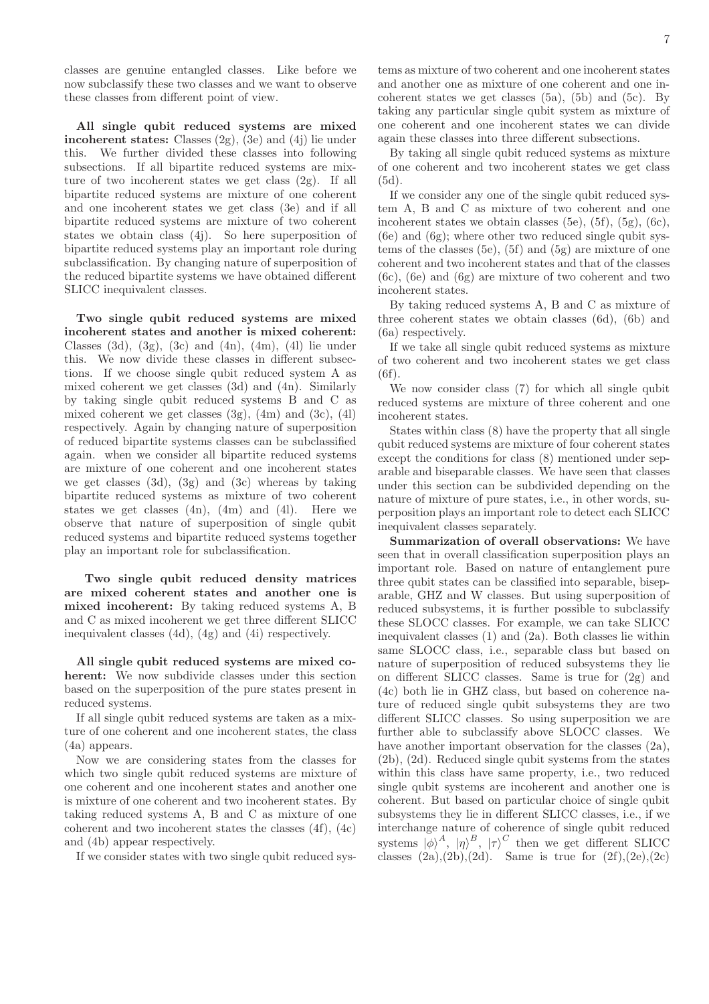classes are genuine entangled classes. Like before we now subclassify these two classes and we want to observe these classes from different point of view.

All single qubit reduced systems are mixed incoherent states: Classes  $(2g)$ ,  $(3e)$  and  $(4i)$  lie under this. We further divided these classes into following subsections. If all bipartite reduced systems are mixture of two incoherent states we get class (2g). If all bipartite reduced systems are mixture of one coherent and one incoherent states we get class (3e) and if all bipartite reduced systems are mixture of two coherent states we obtain class (4j). So here superposition of bipartite reduced systems play an important role during subclassification. By changing nature of superposition of the reduced bipartite systems we have obtained different SLICC inequivalent classes.

Two single qubit reduced systems are mixed incoherent states and another is mixed coherent: Classes (3d), (3g), (3c) and (4n), (4m), (4l) lie under this. We now divide these classes in different subsections. If we choose single qubit reduced system A as mixed coherent we get classes (3d) and (4n). Similarly by taking single qubit reduced systems B and C as mixed coherent we get classes  $(3g)$ ,  $(4m)$  and  $(3c)$ ,  $(4l)$ respectively. Again by changing nature of superposition of reduced bipartite systems classes can be subclassified again. when we consider all bipartite reduced systems are mixture of one coherent and one incoherent states we get classes  $(3d)$ ,  $(3g)$  and  $(3c)$  whereas by taking bipartite reduced systems as mixture of two coherent states we get classes  $(4n)$ ,  $(4m)$  and  $(4l)$ . Here we observe that nature of superposition of single qubit reduced systems and bipartite reduced systems together play an important role for subclassification.

Two single qubit reduced density matrices are mixed coherent states and another one is mixed incoherent: By taking reduced systems A, B and C as mixed incoherent we get three different SLICC inequivalent classes (4d), (4g) and (4i) respectively.

All single qubit reduced systems are mixed coherent: We now subdivide classes under this section based on the superposition of the pure states present in reduced systems.

If all single qubit reduced systems are taken as a mixture of one coherent and one incoherent states, the class (4a) appears.

Now we are considering states from the classes for which two single qubit reduced systems are mixture of one coherent and one incoherent states and another one is mixture of one coherent and two incoherent states. By taking reduced systems A, B and C as mixture of one coherent and two incoherent states the classes (4f), (4c) and (4b) appear respectively.

If we consider states with two single qubit reduced sys-

tems as mixture of two coherent and one incoherent states and another one as mixture of one coherent and one incoherent states we get classes  $(5a)$ ,  $(5b)$  and  $(5c)$ . By taking any particular single qubit system as mixture of one coherent and one incoherent states we can divide again these classes into three different subsections.

By taking all single qubit reduced systems as mixture of one coherent and two incoherent states we get class (5d).

If we consider any one of the single qubit reduced system A, B and C as mixture of two coherent and one incoherent states we obtain classes (5e), (5f), (5g), (6c), (6e) and (6g); where other two reduced single qubit systems of the classes (5e), (5f) and (5g) are mixture of one coherent and two incoherent states and that of the classes (6c), (6e) and (6g) are mixture of two coherent and two incoherent states.

By taking reduced systems A, B and C as mixture of three coherent states we obtain classes (6d), (6b) and (6a) respectively.

If we take all single qubit reduced systems as mixture of two coherent and two incoherent states we get class  $(6f)$ .

We now consider class (7) for which all single qubit reduced systems are mixture of three coherent and one incoherent states.

States within class (8) have the property that all single qubit reduced systems are mixture of four coherent states except the conditions for class (8) mentioned under separable and biseparable classes. We have seen that classes under this section can be subdivided depending on the nature of mixture of pure states, i.e., in other words, superposition plays an important role to detect each SLICC inequivalent classes separately.

Summarization of overall observations: We have seen that in overall classification superposition plays an important role. Based on nature of entanglement pure three qubit states can be classified into separable, biseparable, GHZ and W classes. But using superposition of reduced subsystems, it is further possible to subclassify these SLOCC classes. For example, we can take SLICC inequivalent classes (1) and (2a). Both classes lie within same SLOCC class, i.e., separable class but based on nature of superposition of reduced subsystems they lie on different SLICC classes. Same is true for (2g) and (4c) both lie in GHZ class, but based on coherence nature of reduced single qubit subsystems they are two different SLICC classes. So using superposition we are further able to subclassify above SLOCC classes. We have another important observation for the classes  $(2a)$ , (2b), (2d). Reduced single qubit systems from the states within this class have same property, i.e., two reduced single qubit systems are incoherent and another one is coherent. But based on particular choice of single qubit subsystems they lie in different SLICC classes, i.e., if we interchange nature of coherence of single qubit reduced systems  $|\phi\rangle^A$ ,  $|\eta\rangle^B$ ,  $|\tau\rangle^C$  then we get different SLICC classes  $(2a),(2b),(2d)$ . Same is true for  $(2f),(2e),(2c)$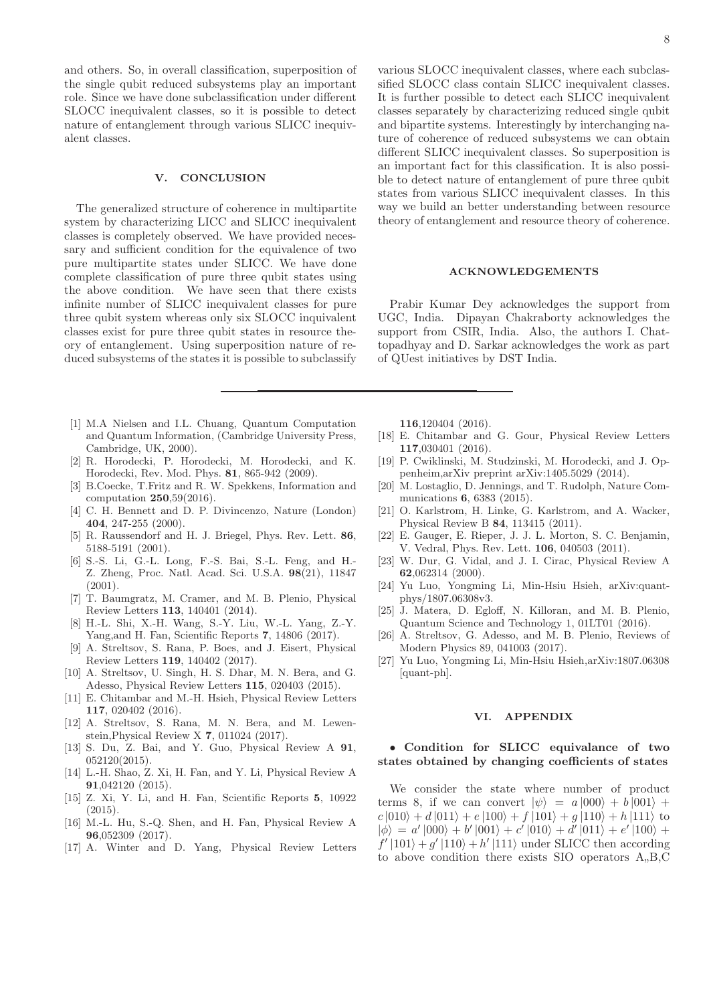and others. So, in overall classification, superposition of the single qubit reduced subsystems play an important role. Since we have done subclassification under different SLOCC inequivalent classes, so it is possible to detect nature of entanglement through various SLICC inequivalent classes.

## V. CONCLUSION

The generalized structure of coherence in multipartite system by characterizing LICC and SLICC inequivalent classes is completely observed. We have provided necessary and sufficient condition for the equivalence of two pure multipartite states under SLICC. We have done complete classification of pure three qubit states using the above condition. We have seen that there exists infinite number of SLICC inequivalent classes for pure three qubit system whereas only six SLOCC inquivalent classes exist for pure three qubit states in resource theory of entanglement. Using superposition nature of reduced subsystems of the states it is possible to subclassify

- [1] M.A Nielsen and I.L. Chuang, Quantum Computation and Quantum Information, (Cambridge University Press, Cambridge, UK, 2000).
- [2] R. Horodecki, P. Horodecki, M. Horodecki, and K. Horodecki, Rev. Mod. Phys. 81, 865-942 (2009).
- [3] B.Coecke, T.Fritz and R. W. Spekkens, Information and computation 250,59(2016).
- [4] C. H. Bennett and D. P. Divincenzo, Nature (London) 404, 247-255 (2000).
- [5] R. Raussendorf and H. J. Briegel, Phys. Rev. Lett. 86, 5188-5191 (2001).
- [6] S.-S. Li, G.-L. Long, F.-S. Bai, S.-L. Feng, and H.- Z. Zheng, Proc. Natl. Acad. Sci. U.S.A. 98(21), 11847 (2001).
- [7] T. Baumgratz, M. Cramer, and M. B. Plenio, Physical Review Letters 113, 140401 (2014).
- [8] H.-L. Shi, X.-H. Wang, S.-Y. Liu, W.-L. Yang, Z.-Y. Yang,and H. Fan, Scientific Reports 7, 14806 (2017).
- [9] A. Streltsov, S. Rana, P. Boes, and J. Eisert, Physical Review Letters 119, 140402 (2017).
- [10] A. Streltsov, U. Singh, H. S. Dhar, M. N. Bera, and G. Adesso, Physical Review Letters 115, 020403 (2015).
- [11] E. Chitambar and M.-H. Hsieh, Physical Review Letters 117, 020402 (2016).
- [12] A. Streltsov, S. Rana, M. N. Bera, and M. Lewenstein,Physical Review X 7, 011024 (2017).
- [13] S. Du, Z. Bai, and Y. Guo, Physical Review A 91, 052120(2015).
- [14] L.-H. Shao, Z. Xi, H. Fan, and Y. Li, Physical Review A 91,042120 (2015).
- [15] Z. Xi, Y. Li, and H. Fan, Scientific Reports 5, 10922  $(2015)$ .
- [16] M.-L. Hu, S.-Q. Shen, and H. Fan, Physical Review A 96,052309 (2017).
- [17] A. Winter and D. Yang, Physical Review Letters

various SLOCC inequivalent classes, where each subclassified SLOCC class contain SLICC inequivalent classes. It is further possible to detect each SLICC inequivalent classes separately by characterizing reduced single qubit and bipartite systems. Interestingly by interchanging nature of coherence of reduced subsystems we can obtain different SLICC inequivalent classes. So superposition is an important fact for this classification. It is also possible to detect nature of entanglement of pure three qubit states from various SLICC inequivalent classes. In this way we build an better understanding between resource theory of entanglement and resource theory of coherence.

# ACKNOWLEDGEMENTS

Prabir Kumar Dey acknowledges the support from UGC, India. Dipayan Chakraborty acknowledges the support from CSIR, India. Also, the authors I. Chattopadhyay and D. Sarkar acknowledges the work as part of QUest initiatives by DST India.

116,120404 (2016).

- [18] E. Chitambar and G. Gour, Physical Review Letters 117,030401 (2016).
- [19] P. Cwiklinski, M. Studzinski, M. Horodecki, and J. Oppenheim,arXiv preprint arXiv:1405.5029 (2014).
- [20] M. Lostaglio, D. Jennings, and T. Rudolph, Nature Communications 6, 6383 (2015).
- [21] O. Karlstrom, H. Linke, G. Karlstrom, and A. Wacker, Physical Review B 84, 113415 (2011).
- [22] E. Gauger, E. Rieper, J. J. L. Morton, S. C. Benjamin, V. Vedral, Phys. Rev. Lett. 106, 040503 (2011).
- [23] W. Dur, G. Vidal, and J. I. Cirac, Physical Review A 62,062314 (2000).
- [24] Yu Luo, Yongming Li, Min-Hsiu Hsieh, arXiv:quantphys/1807.06308v3.
- [25] J. Matera, D. Egloff, N. Killoran, and M. B. Plenio, Quantum Science and Technology 1, 01LT01 (2016).
- [26] A. Streltsov, G. Adesso, and M. B. Plenio, Reviews of Modern Physics 89, 041003 (2017).
- [27] Yu Luo, Yongming Li, Min-Hsiu Hsieh,arXiv:1807.06308 [quant-ph].

#### VI. APPENDIX

# • Condition for SLICC equivalance of two states obtained by changing coefficients of states

We consider the state where number of product terms 8, if we can convert  $|\psi\rangle = a |000\rangle + b |001\rangle +$  $c |010\rangle + d |011\rangle + e |100\rangle + f |101\rangle + q |110\rangle + h |111\rangle$  to  $|\phi\rangle = a' |000\rangle + b' |001\rangle + c' |010\rangle + d' |011\rangle + e' |100\rangle +$  $f'(101) + g'(110) + h'(111)$  under SLICC then according to above condition there exists  $SIO$  operators  $A<sub>n</sub>B<sub>n</sub>C$